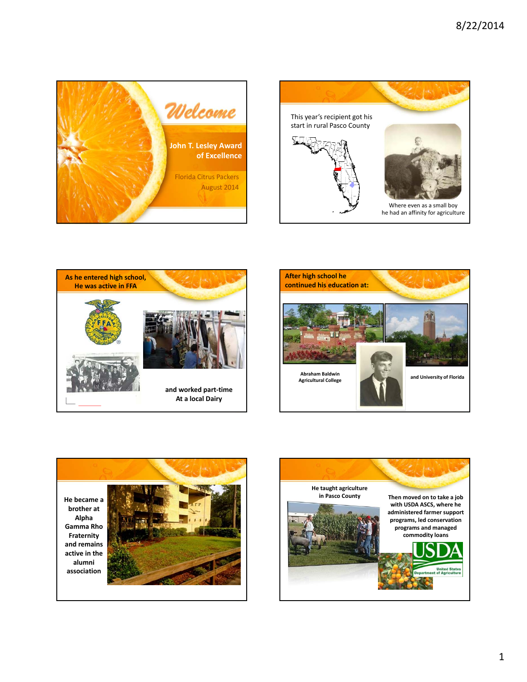









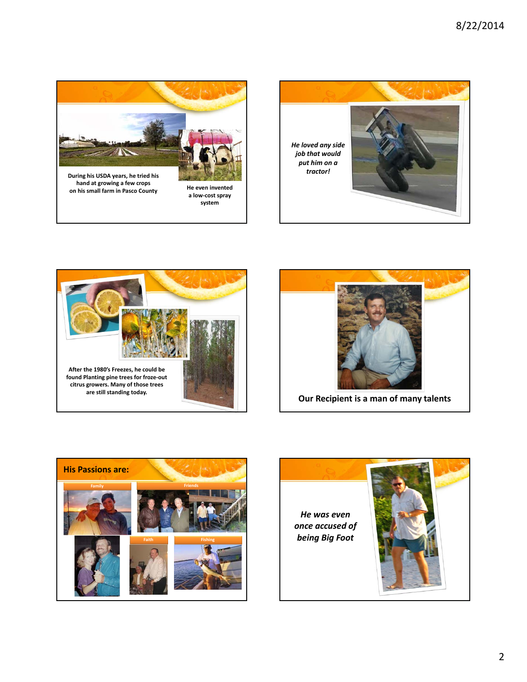



**a low‐cost spray system**

**on his small farm in Pasco County He even invented**





**Our Recipient is a man of many talents**



*He was even once accused of being Big Foot*